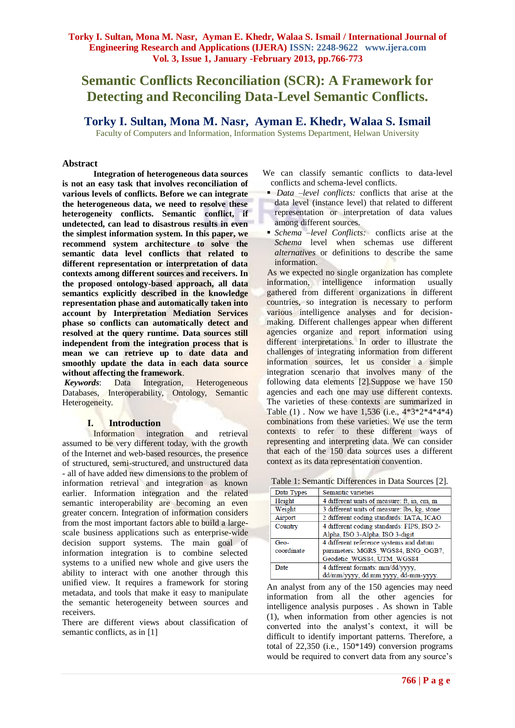# **Semantic Conflicts Reconciliation (SCR): A Framework for Detecting and Reconciling Data-Level Semantic Conflicts.**

**Torky I. Sultan, Mona M. Nasr, Ayman E. Khedr, Walaa S. Ismail**

Faculty of Computers and Information, Information Systems Department, Helwan University

# **Abstract**

**Integration of heterogeneous data sources is not an easy task that involves reconciliation of various levels of conflicts. Before we can integrate the heterogeneous data, we need to resolve these heterogeneity conflicts. Semantic conflict, if undetected, can lead to disastrous results in even the simplest information system. In this paper, we recommend system architecture to solve the semantic data level conflicts that related to different representation or interpretation of data contexts among different sources and receivers. In the proposed ontology-based approach, all data semantics explicitly described in the knowledge representation phase and automatically taken into account by Interpretation Mediation Services phase so conflicts can automatically detect and resolved at the query runtime. Data sources still independent from the integration process that is mean we can retrieve up to date data and smoothly update the data in each data source without affecting the framework**.

*Keywords*: Data Integration, Heterogeneous Databases, Interoperability, Ontology, Semantic Heterogeneity.

#### **I. Introduction**

Information integration and retrieval assumed to be very different today, with the growth of the Internet and web-based resources, the presence of structured, semi-structured, and unstructured data - all of have added new dimensions to the problem of information retrieval and integration as known earlier. Information integration and the related semantic interoperability are becoming an even greater concern. Integration of information considers from the most important factors able to build a largescale business applications such as enterprise-wide decision support systems. The main goal of information integration is to combine selected systems to a unified new whole and give users the ability to interact with one another through this unified view. It requires a framework for storing metadata, and tools that make it easy to manipulate the semantic heterogeneity between sources and receivers.

There are different views about classification of semantic conflicts, as in [1]

We can classify semantic conflicts to data-level conflicts and schema-level conflicts.

- *Data –level conflicts:* conflicts that arise at the data level (instance level) that related to different representation or interpretation of data values among different sources.
- *Schema –level Conflicts:* conflicts arise at the *Schema* level when schemas use different *alternatives* or definitions to describe the same information.

 As we expected no single organization has complete information, intelligence information usually gathered from different organizations in different countries, so integration is necessary to perform various intelligence analyses and for decisionmaking. Different challenges appear when different agencies organize and report information using different interpretations. In order to illustrate the challenges of integrating information from different information sources, let us consider a simple integration scenario that involves many of the following data elements [2].Suppose we have 150 agencies and each one may use different contexts. The varieties of these contexts are summarized in Table (1) . Now we have 1,536 (i.e., 4\*3\*2\*4\*4\*4) combinations from these varieties. We use the term contexts to refer to these different ways of representing and interpreting data. We can consider that each of the 150 data sources uses a different context as its data representation convention.

| Table 1: Semantic Differences in Data Sources [2]. |  |  |
|----------------------------------------------------|--|--|
|----------------------------------------------------|--|--|

| Data Types | Semantic varieties                           |
|------------|----------------------------------------------|
| Height     | 4 different units of measure: ft, in, cm, m  |
| Weight     | 3 different units of measure: lbs, kg, stone |
| Airport    | 2 different coding standards: IATA, ICAO     |
| Country    | 4 different coding standards: FIPS, ISO 2-   |
|            | Alpha, ISO 3-Alpha, ISO 3-digit              |
| Geo-       | 4 different reference systems and datum      |
| coordinate | parameters: MGRS WGS84, BNG OGB7,            |
|            | Geodetic WGS84, UTM WGS84                    |
| Date       | 4 different formats: mm/dd/yyyy,             |
|            | dd/mm/yyyy, dd.mm.yyyy, dd-mm-yyyy.          |

An analyst from any of the 150 agencies may need information from all the other agencies for intelligence analysis purposes . As shown in Table (1), when information from other agencies is not converted into the analyst's context, it will be difficult to identify important patterns. Therefore, a total of 22,350 (i.e., 150\*149) conversion programs would be required to convert data from any source's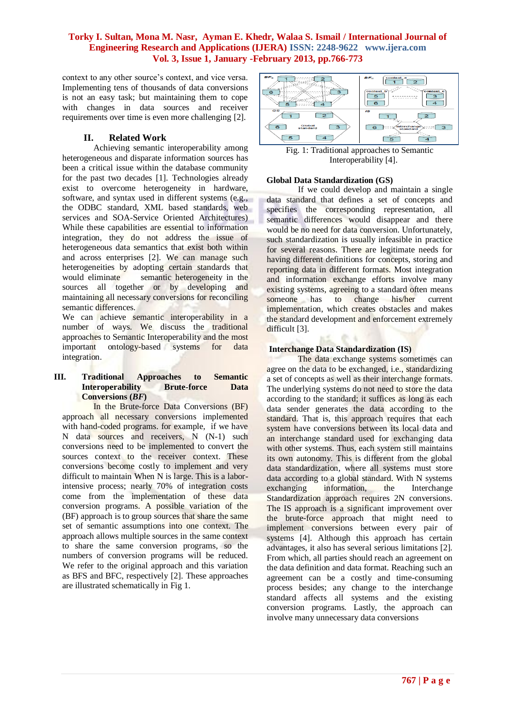context to any other source's context, and vice versa. Implementing tens of thousands of data conversions is not an easy task; but maintaining them to cope with changes in data sources and receiver requirements over time is even more challenging [2].

# **II. Related Work**

Achieving semantic interoperability among heterogeneous and disparate information sources has been a critical issue within the database community for the past two decades [1]. Technologies already exist to overcome heterogeneity in hardware, software, and syntax used in different systems (e.g., the ODBC standard, XML based standards, web services and SOA-Service Oriented Architectures) While these capabilities are essential to information integration, they do not address the issue of heterogeneous data semantics that exist both within and across enterprises [2]. We can manage such heterogeneities by adopting certain standards that would eliminate semantic heterogeneity in the sources all together or by developing and maintaining all necessary conversions for reconciling semantic differences.

We can achieve semantic interoperability in a number of ways. We discuss the traditional approaches to Semantic Interoperability and the most important ontology-based systems for data integration.

#### **III. Traditional Approaches to Semantic Interoperability Brute-force Data Conversions (***BF***)**

In the Brute-force Data Conversions (BF) approach all necessary conversions implemented with hand-coded programs. for example, if we have N data sources and receivers, N (N-1) such conversions need to be implemented to convert the sources context to the receiver context. These conversions become costly to implement and very difficult to maintain When N is large. This is a laborintensive process; nearly 70% of integration costs come from the implementation of these data conversion programs. A possible variation of the (BF) approach is to group sources that share the same set of semantic assumptions into one context. The approach allows multiple sources in the same context to share the same conversion programs, so the numbers of conversion programs will be reduced. We refer to the original approach and this variation as BFS and BFC, respectively [2]. These approaches are illustrated schematically in Fig 1.



Fig. 1: Traditional approaches to Semantic Interoperability [4].

#### **Global Data Standardization (GS)**

If we could develop and maintain a single data standard that defines a set of concepts and specifies the corresponding representation, all semantic differences would disappear and there would be no need for data conversion. Unfortunately, such standardization is usually infeasible in practice for several reasons. There are legitimate needs for having different definitions for concepts, storing and reporting data in different formats. Most integration and information exchange efforts involve many existing systems, agreeing to a standard often means someone has to change his/her current implementation, which creates obstacles and makes the standard development and enforcement extremely difficult [3].

#### **Interchange Data Standardization (IS)**

The data exchange systems sometimes can agree on the data to be exchanged, i.e., standardizing a set of concepts as well as their interchange formats. The underlying systems do not need to store the data according to the standard; it suffices as long as each data sender generates the data according to the standard. That is, this approach requires that each system have conversions between its local data and an interchange standard used for exchanging data with other systems. Thus, each system still maintains its own autonomy. This is different from the global data standardization, where all systems must store data according to a global standard. With N systems exchanging information, the Interchange Standardization approach requires 2N conversions. The IS approach is a significant improvement over the brute-force approach that might need to implement conversions between every pair of systems [4]. Although this approach has certain advantages, it also has several serious limitations [2]. From which, all parties should reach an agreement on the data definition and data format. Reaching such an agreement can be a costly and time-consuming process besides; any change to the interchange standard affects all systems and the existing conversion programs. Lastly, the approach can involve many unnecessary data conversions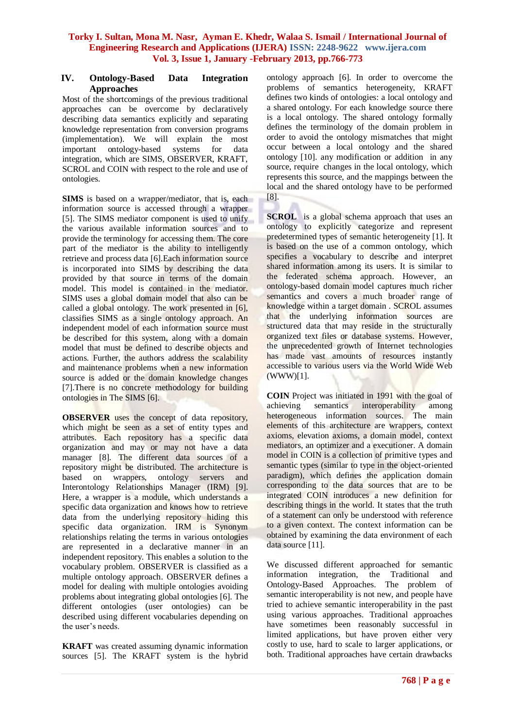#### **IV. Ontology-Based Data Integration Approaches**

Most of the shortcomings of the previous traditional approaches can be overcome by declaratively describing data semantics explicitly and separating knowledge representation from conversion programs (implementation). We will explain the most important ontology-based systems for data integration, which are SIMS, OBSERVER, KRAFT, SCROL and COIN with respect to the role and use of ontologies.

**SIMS** is based on a wrapper/mediator, that is, each information source is accessed through a wrapper [5]. The SIMS mediator component is used to unify the various available information sources and to provide the terminology for accessing them. The core part of the mediator is the ability to intelligently retrieve and process data [6].Each information source is incorporated into SIMS by describing the data provided by that source in terms of the domain model. This model is contained in the mediator. SIMS uses a global domain model that also can be called a global ontology. The work presented in [6], classifies SIMS as a single ontology approach. An independent model of each information source must be described for this system, along with a domain model that must be defined to describe objects and actions. Further, the authors address the scalability and maintenance problems when a new information source is added or the domain knowledge changes [7].There is no concrete methodology for building ontologies in The SIMS [6].

**OBSERVER** uses the concept of data repository, which might be seen as a set of entity types and attributes. Each repository has a specific data organization and may or may not have a data manager [8]. The different data sources of a repository might be distributed. The architecture is based on wrappers, ontology servers and Interontology Relationships Manager (IRM) [9]. Here, a wrapper is a module, which understands a specific data organization and knows how to retrieve data from the underlying repository hiding this specific data organization. IRM is Synonym relationships relating the terms in various ontologies are represented in a declarative manner in an independent repository. This enables a solution to the vocabulary problem. OBSERVER is classified as a multiple ontology approach. OBSERVER defines a model for dealing with multiple ontologies avoiding problems about integrating global ontologies [6]. The different ontologies (user ontologies) can be described using different vocabularies depending on the user's needs.

**KRAFT** was created assuming dynamic information sources [5]. The KRAFT system is the hybrid ontology approach [6]. In order to overcome the problems of semantics heterogeneity, KRAFT defines two kinds of ontologies: a local ontology and a shared ontology. For each knowledge source there is a local ontology. The shared ontology formally defines the terminology of the domain problem in order to avoid the ontology mismatches that might occur between a local ontology and the shared ontology [10]. any modification or addition in any source, require changes in the local ontology, which represents this source, and the mappings between the local and the shared ontology have to be performed [8].

**SCROL** is a global schema approach that uses an ontology to explicitly categorize and represent predetermined types of semantic heterogeneity [1]. It is based on the use of a common ontology, which specifies a vocabulary to describe and interpret shared information among its users. It is similar to the federated schema approach. However, an ontology-based domain model captures much richer semantics and covers a much broader range of knowledge within a target domain . SCROL assumes that the underlying information sources are structured data that may reside in the structurally organized text files or database systems. However, the unprecedented growth of Internet technologies has made vast amounts of resources instantly accessible to various users via the World Wide Web (WWW)[1].

**COIN** Project was initiated in 1991 with the goal of achieving semantics interoperability among heterogeneous information sources. The main elements of this architecture are wrappers, context axioms, elevation axioms, a domain model, context mediators, an optimizer and a executioner. A domain model in COIN is a collection of primitive types and semantic types (similar to type in the object-oriented paradigm), which defines the application domain corresponding to the data sources that are to be integrated COIN introduces a new definition for describing things in the world. It states that the truth of a statement can only be understood with reference to a given context. The context information can be obtained by examining the data environment of each data source [11].

We discussed different approached for semantic information integration, the Traditional and Ontology-Based Approaches. The problem of semantic interoperability is not new, and people have tried to achieve semantic interoperability in the past using various approaches. Traditional approaches have sometimes been reasonably successful in limited applications, but have proven either very costly to use, hard to scale to larger applications, or both. Traditional approaches have certain drawbacks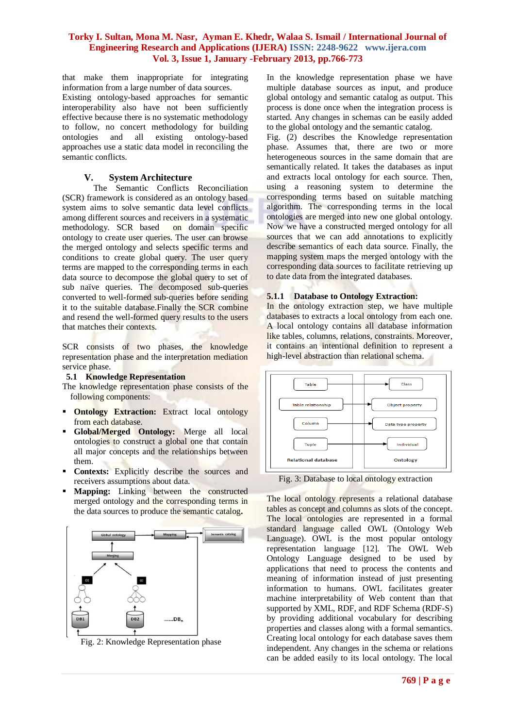that make them inappropriate for integrating information from a large number of data sources. Existing ontology-based approaches for semantic interoperability also have not been sufficiently effective because there is no systematic methodology to follow, no concert methodology for building existing ontology-based approaches use a static data model in reconciling the semantic conflicts.

# **V. System Architecture**

The Semantic Conflicts Reconciliation (SCR) framework is considered as an ontology based system aims to solve semantic data level conflicts among different sources and receivers in a systematic methodology. SCR based on domain specific ontology to create user queries. The user can browse the merged ontology and selects specific terms and conditions to create global query. The user query terms are mapped to the corresponding terms in each data source to decompose the global query to set of sub naïve queries. The decomposed sub-queries converted to well-formed sub-queries before sending it to the suitable database.Finally the SCR combine and resend the well-formed query results to the users that matches their contexts.

SCR consists of two phases, the knowledge representation phase and the interpretation mediation service phase.

#### **5.1 Knowledge Representation**

The knowledge representation phase consists of the following components:

- **Ontology Extraction:** Extract local ontology from each database.
- **Global/Merged Ontology:** Merge all local ontologies to construct a global one that contain all major concepts and the relationships between them.
- **Contexts:** Explicitly describe the sources and receivers assumptions about data.
- **Mapping:** Linking between the constructed merged ontology and the corresponding terms in the data sources to produce the semantic catalog**.**



Fig. 2: Knowledge Representation phase

In the knowledge representation phase we have multiple database sources as input, and produce global ontology and semantic catalog as output. This process is done once when the integration process is started. Any changes in schemas can be easily added to the global ontology and the semantic catalog.

Fig. (2) describes the Knowledge representation phase. Assumes that, there are two or more heterogeneous sources in the same domain that are semantically related. It takes the databases as input and extracts local ontology for each source. Then, using a reasoning system to determine the corresponding terms based on suitable matching algorithm. The corresponding terms in the local ontologies are merged into new one global ontology. Now we have a constructed merged ontology for all sources that we can add annotations to explicitly describe semantics of each data source. Finally, the mapping system maps the merged ontology with the corresponding data sources to facilitate retrieving up to date data from the integrated databases.

#### **5.1.1 Database to Ontology Extraction:**

In the ontology extraction step, we have multiple databases to extracts a local ontology from each one. A local ontology contains all database information like tables, columns, relations, constraints. Moreover, it contains an intentional definition to represent a high-level abstraction than relational schema.



Fig. 3: Database to local ontology extraction

The local ontology represents a relational database tables as concept and columns as slots of the concept. The local ontologies are represented in a formal standard language called OWL (Ontology Web Language). OWL is the most popular ontology representation language [12]. The OWL Web Ontology Language designed to be used by applications that need to process the contents and meaning of information instead of just presenting information to humans. OWL facilitates greater machine interpretability of Web content than that supported by XML, RDF, and RDF Schema (RDF-S) by providing additional vocabulary for describing properties and classes along with a formal semantics. Creating local ontology for each database saves them independent. Any changes in the schema or relations can be added easily to its local ontology. The local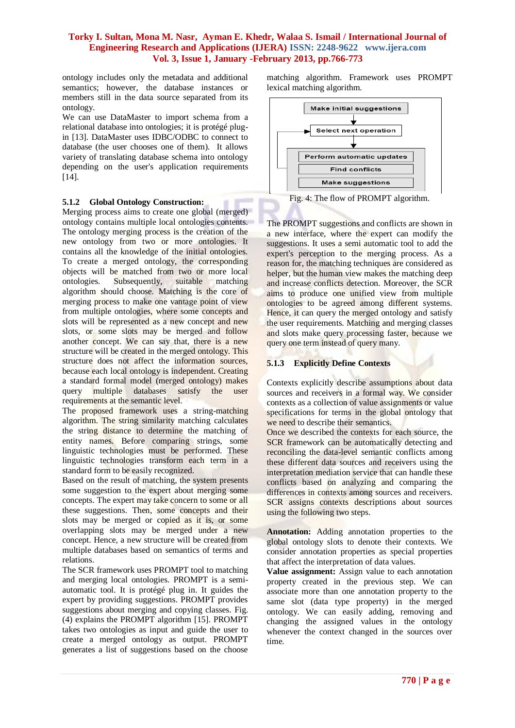ontology includes only the metadata and additional semantics; however, the database instances or members still in the data source separated from its ontology.

We can use DataMaster to import schema from a relational database into ontologies; it is protégé plugin [13]. DataMaster uses IDBC/ODBC to connect to database (the user chooses one of them). It allows variety of translating database schema into ontology depending on the user's application requirements [14].

#### **5.1.2 Global Ontology Construction:**

Merging process aims to create one global (merged) ontology contains multiple local ontologies contents. The ontology merging process is the creation of the new ontology from two or more ontologies. It contains all the knowledge of the initial ontologies. To create a merged ontology, the corresponding objects will be matched from two or more local ontologies. Subsequently, suitable matching algorithm should choose. Matching is the core of merging process to make one vantage point of view from multiple ontologies, where some concepts and slots will be represented as a new concept and new slots, or some slots may be merged and follow another concept. We can say that, there is a new structure will be created in the merged ontology. This structure does not affect the information sources, because each local ontology is independent. Creating a standard formal model (merged ontology) makes query multiple databases satisfy the user requirements at the semantic level.

The proposed framework uses a string-matching algorithm. The string similarity matching calculates the string distance to determine the matching of entity names. Before comparing strings, some linguistic technologies must be performed. These linguistic technologies transform each term in a standard form to be easily recognized.

Based on the result of matching, the system presents some suggestion to the expert about merging some concepts. The expert may take concern to some or all these suggestions. Then, some concepts and their slots may be merged or copied as it is, or some overlapping slots may be merged under a new concept. Hence, a new structure will be created from multiple databases based on semantics of terms and relations.

The SCR framework uses PROMPT tool to matching and merging local ontologies. PROMPT is a semiautomatic tool. It is protégé plug in. It guides the expert by providing suggestions. PROMPT provides suggestions about merging and copying classes. Fig. (4) explains the PROMPT algorithm [15]. PROMPT takes two ontologies as input and guide the user to create a merged ontology as output. PROMPT generates a list of suggestions based on the choose

matching algorithm. Framework uses PROMPT lexical matching algorithm.



Fig. 4: The flow of PROMPT algorithm.

The PROMPT suggestions and conflicts are shown in a new interface, where the expert can modify the suggestions. It uses a semi automatic tool to add the expert's perception to the merging process. As a reason for, the matching techniques are considered as helper, but the human view makes the matching deep and increase conflicts detection. Moreover, the SCR aims to produce one unified view from multiple ontologies to be agreed among different systems. Hence, it can query the merged ontology and satisfy the user requirements. Matching and merging classes and slots make query processing faster, because we query one term instead of query many.

# **5.1.3 Explicitly Define Contexts**

Contexts explicitly describe assumptions about data sources and receivers in a formal way. We consider contexts as a collection of value assignments or value specifications for terms in the global ontology that we need to describe their semantics.

Once we described the contexts for each source, the SCR framework can be automatically detecting and reconciling the data-level semantic conflicts among these different data sources and receivers using the interpretation mediation service that can handle these conflicts based on analyzing and comparing the differences in contexts among sources and receivers. SCR assigns contexts descriptions about sources using the following two steps.

**Annotation:** Adding annotation properties to the global ontology slots to denote their contexts. We consider annotation properties as special properties that affect the interpretation of data values.

**Value assignment:** Assign value to each annotation property created in the previous step. We can associate more than one annotation property to the same slot (data type property) in the merged ontology. We can easily adding, removing and changing the assigned values in the ontology whenever the context changed in the sources over time.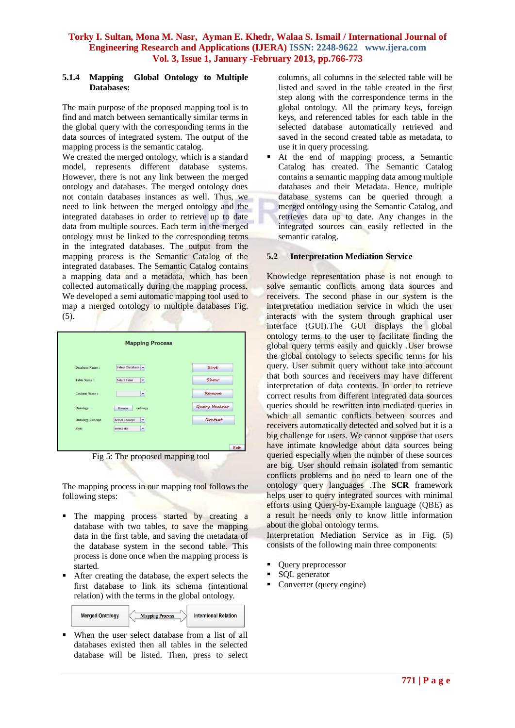#### **5.1.4 Mapping Global Ontology to Multiple Databases:**

The main purpose of the proposed mapping tool is to find and match between semantically similar terms in the global query with the corresponding terms in the data sources of integrated system. The output of the mapping process is the semantic catalog.

We created the merged ontology, which is a standard model, represents different database systems. However, there is not any link between the merged ontology and databases. The merged ontology does not contain databases instances as well. Thus, we need to link between the merged ontology and the integrated databases in order to retrieve up to date data from multiple sources. Each term in the merged ontology must be linked to the corresponding terms in the integrated databases. The output from the mapping process is the Semantic Catalog of the integrated databases. The Semantic Catalog contains a mapping data and a metadata, which has been collected automatically during the mapping process. We developed a semi automatic mapping tool used to map a merged ontology to multiple databases Fig.  $(5)$ .

| Database Name:          | Select Database                               | Save          |
|-------------------------|-----------------------------------------------|---------------|
| <b>Table Name:</b>      | Select Tabel<br>$\overline{\phantom{a}}$      | Show          |
| Coulmn Name:            | $\blacktriangledown$                          | Remove        |
| Ontology:               | Browse<br>ontology                            | Query Builder |
| <b>Ontology Concept</b> | <b>Select Concept</b><br>$\blacktriangledown$ | Context       |
| <b>Slots</b>            | select slot<br>$\check{}$                     |               |

Fig 5: The proposed mapping tool

The mapping process in our mapping tool follows the following steps:

- The mapping process started by creating a database with two tables, to save the mapping data in the first table, and saving the metadata of the database system in the second table. This process is done once when the mapping process is started.
- After creating the database, the expert selects the first database to link its schema (intentional relation) with the terms in the global ontology.

| <b>Merged Ontology</b> | <b>Mapping Process</b> | <b>Intentional Relation</b> |  |
|------------------------|------------------------|-----------------------------|--|
|------------------------|------------------------|-----------------------------|--|

 When the user select database from a list of all databases existed then all tables in the selected database will be listed. Then, press to select columns, all columns in the selected table will be listed and saved in the table created in the first step along with the correspondence terms in the global ontology. All the primary keys, foreign keys, and referenced tables for each table in the selected database automatically retrieved and saved in the second created table as metadata, to use it in query processing.

 At the end of mapping process, a Semantic Catalog has created. The Semantic Catalog contains a semantic mapping data among multiple databases and their Metadata. Hence, multiple database systems can be queried through a merged ontology using the Semantic Catalog, and retrieves data up to date. Any changes in the integrated sources can easily reflected in the semantic catalog.

# **5.2 Interpretation Mediation Service**

Knowledge representation phase is not enough to solve semantic conflicts among data sources and receivers. The second phase in our system is the interpretation mediation service in which the user interacts with the system through graphical user interface (GUI).The GUI displays the global ontology terms to the user to facilitate finding the global query terms easily and quickly .User browse the global ontology to selects specific terms for his query. User submit query without take into account that both sources and receivers may have different interpretation of data contexts. In order to retrieve correct results from different integrated data sources queries should be rewritten into mediated queries in which all semantic conflicts between sources and receivers automatically detected and solved but it is a big challenge for users. We cannot suppose that users have intimate knowledge about data sources being queried especially when the number of these sources are big. User should remain isolated from semantic conflicts problems and no need to learn one of the ontology query languages .The **SCR** framework helps user to query integrated sources with minimal efforts using Query-by-Example language (QBE) as a result he needs only to know little information about the global ontology terms.

Interpretation Mediation Service as in Fig. (5) consists of the following main three components:

- Query preprocessor
- SQL generator
- Converter (query engine)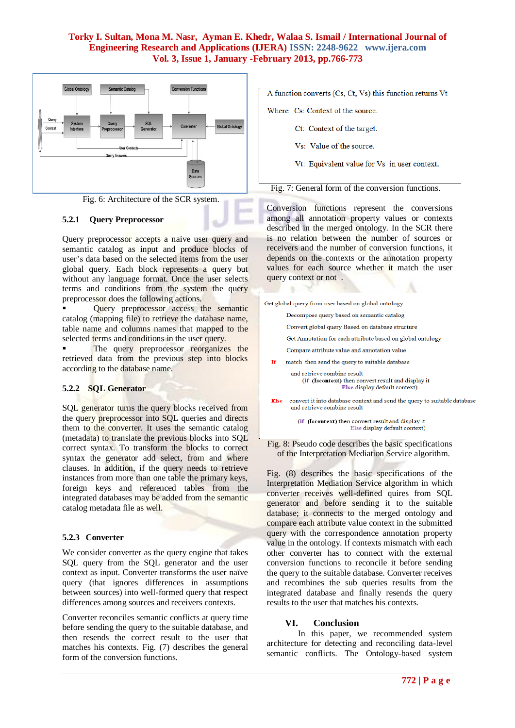



#### **5.2.1 Query Preprocessor**

Query preprocessor accepts a naive user query and semantic catalog as input and produce blocks of user's data based on the selected items from the user global query. Each block represents a query but without any language format. Once the user selects terms and conditions from the system the query preprocessor does the following actions.

Query preprocessor access the semantic catalog (mapping file) to retrieve the database name, table name and columns names that mapped to the selected terms and conditions in the user query.

The query preprocessor reorganizes the retrieved data from the previous step into blocks according to the database name.

#### **5.2.2 SQL Generator**

SQL generator turns the query blocks received from the query preprocessor into SQL queries and directs them to the converter. It uses the semantic catalog (metadata) to translate the previous blocks into SQL correct syntax. To transform the blocks to correct syntax the generator add select, from and where clauses. In addition, if the query needs to retrieve instances from more than one table the primary keys, foreign keys and referenced tables from the integrated databases may be added from the semantic catalog metadata file as well.

#### **5.2.3 Converter**

We consider converter as the query engine that takes SQL query from the SQL generator and the user context as input. Converter transforms the user naïve query (that ignores differences in assumptions between sources) into well-formed query that respect differences among sources and receivers contexts.

Converter reconciles semantic conflicts at query time before sending the query to the suitable database, and then resends the correct result to the user that matches his contexts. Fig. (7) describes the general form of the conversion functions.

A function converts (Cs, Ct, Vs) this function returns Vt

Where Cs: Context of the source.

Ct: Context of the target.

Vs: Value of the source.

Vt: Equivalent value for Vs in user context.

Fig. 7: General form of the conversion functions.

Conversion functions represent the conversions among all annotation property values or contexts described in the merged ontology. In the SCR there is no relation between the number of sources or receivers and the number of conversion functions, it depends on the contexts or the annotation property values for each source whether it match the user query context or not .

|      | Get global query from user based on global ontology                                                                |
|------|--------------------------------------------------------------------------------------------------------------------|
|      | Decompose query based on semantic catalog                                                                          |
|      | Convert global query Based on database structure                                                                   |
|      | Get Annotation for each attribute based on global ontology                                                         |
|      | Compare attribute value and annotation value                                                                       |
| Tf   | match then send the query to suitable database                                                                     |
|      | and retrieve combine result<br>(if (Iscontext) then convert result and display it<br>Else display default context) |
| Else | convert it into database context and send the query to suitable databas<br>and retrieve combine result             |

(if (Iscontext) then convert result and display it Else display default context)

Fig. 8: Pseudo code describes the basic specifications of the Interpretation Mediation Service algorithm.

Fig. (8) describes the basic specifications of the Interpretation Mediation Service algorithm in which converter receives well-defined quires from SQL generator and before sending it to the suitable database; it connects to the merged ontology and compare each attribute value context in the submitted query with the correspondence annotation property value in the ontology. If contexts mismatch with each other converter has to connect with the external conversion functions to reconcile it before sending the query to the suitable database. Converter receives and recombines the sub queries results from the integrated database and finally resends the query results to the user that matches his contexts.

# **VI. Conclusion**

In this paper, we recommended system architecture for detecting and reconciling data-level semantic conflicts. The Ontology-based system